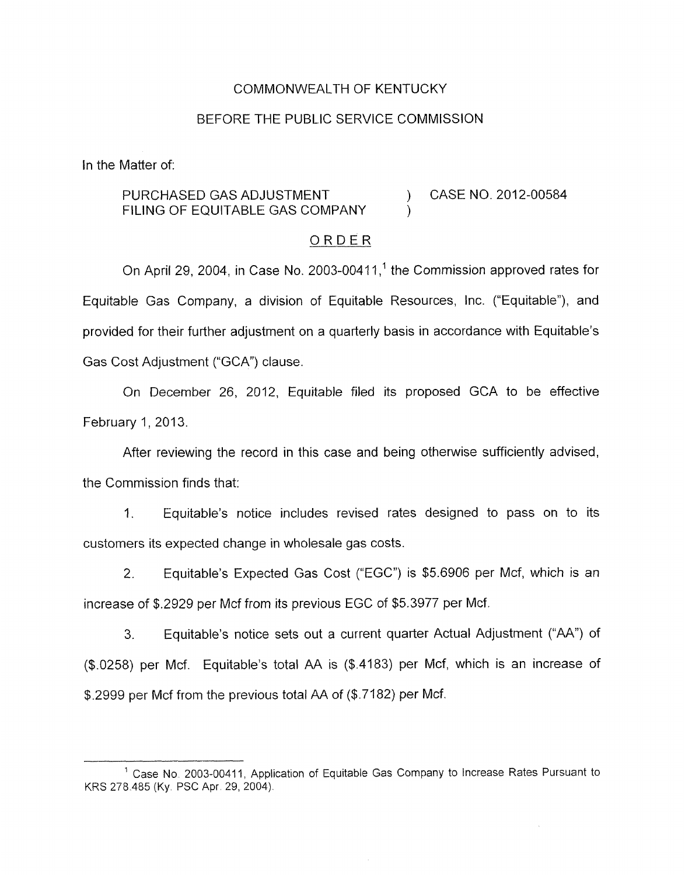#### COMMONWEALTH OF KENTUCKY

## BEFORE THE PUBLIC SERVICE COMMISSION

In the Matter of:

### PURCHASED GAS ADJUSTMENT (2012-00584) FILING OF EQUITABLE GAS COMPANY  $\overrightarrow{y}$

#### ORDER

On April 29, 2004, in Case No. 2003-00411,<sup>1</sup> the Commission approved rates for Equitable Gas Company, a division of Equitable Resources, Inc. ("Equitable"), and provided for their further adjustment on a quarterly basis in accordance with Equitable's Gas Cost Adjustment ("GCA") clause.

On December 26, 2012, Equitable filed its proposed GCA to be effective February 1, 2013.

After reviewing the record in this case and being otherwise sufficiently advised, the Commission finds that:

1. Equitable's notice includes revised rates designed to pass on to its customers its expected change in wholesale gas costs.

2. Equitable's Expected Gas Cost ("EGC") is \$5.6906 per Mcf, which is an increase of \$.2929 per Mcf from its previous EGC of \$5.3977 per Mcf.

3. Equitable's notice sets out a current quarter Actual Adjustment ("AA") of (\$.0258) per Mcf. Equitable's total AA is (\$.4183) per Mcf, which is an increase of \$.2999 per Mcf from the previous total AA of (\$.7182) per Mcf.

<sup>&</sup>lt;sup>1</sup> Case No. 2003-00411, Application of Equitable Gas Company to Increase Rates Pursuant to KRS 278.485 (Ky. PSC Apr. 29, 2004).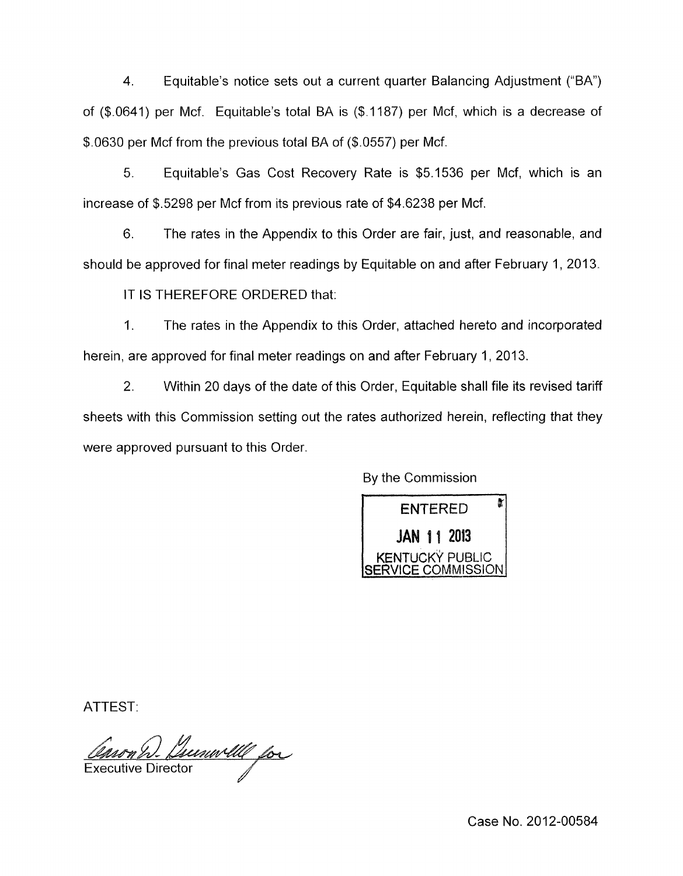4. Equitable's notice sets out a current quarter Balancing Adjustment ("BA") of (\$.0641) per Mcf. Equitable's total BA is (\$.1187) per Mcf, which is a decrease of \$.0630 per Mcf from the previous total BA of (\$.0557) per Mcf.

*5.* Equitable's Gas Cost Recovery Rate is \$5.1536 per Mcf, which is an increase of \$.5298 per Mcf from its previous rate of \$4.6238 per Mcf.

6. The rates in the Appendix to this Order are fair, just, and reasonable, and should be approved for final meter readings by Equitable on and after February 1, 2013.

IT IS THEREFORE ORDERED that:

1. The rates in the Appendix to this Order, attached hereto and incorporated herein, are approved for final meter readings on and after February 1, 2013.

2. Within 20 days of the date of this Order, Equitable shall file its revised tariff sheets with this Commission setting out the rates authorized herein, reflecting that they were approved pursuant to this Order.

By the Commission



ATTEST:

Leunwelle for Executive Director

Case No. 2012-00584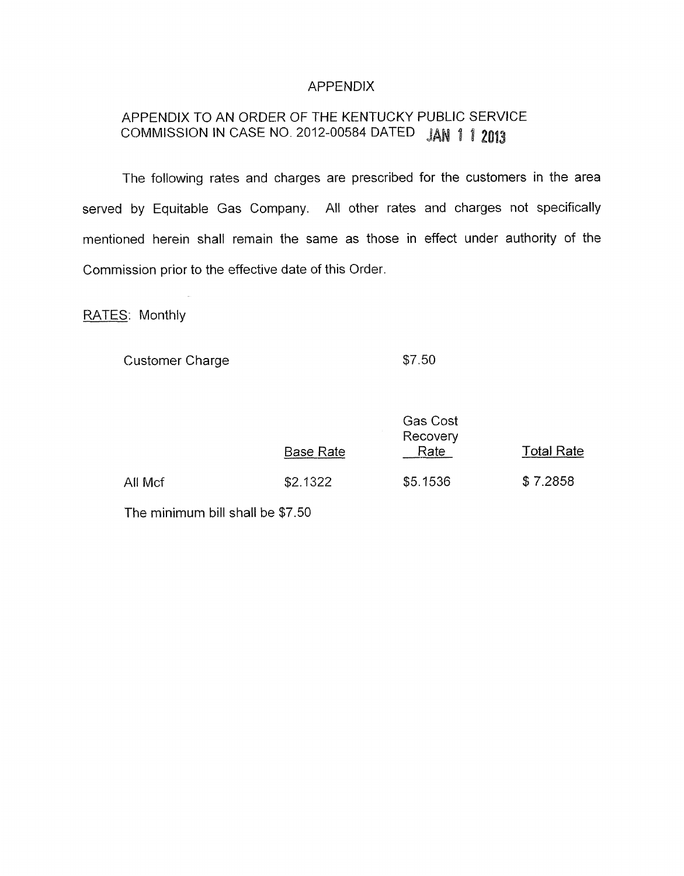#### APPENDIX

# APPENDIX TO AN ORDER OF THE KENTUCKY PUBLIC SERVICE COMMISSION IN CASE NO. 2012-00584 DATED JAN 1 1 2013

The following rates and charges are prescribed for the customers in the area served by Equitable Gas Company. All other rates and charges not specifically mentioned herein shall remain the same as those in effect under authority of the Commission prior to the effective date of this Order.

## RATES: Monthly

Customer Charge \$7.50

|         | Base Rate | <b>Gas Cost</b><br>Recovery<br>Rate | <b>Total Rate</b> |
|---------|-----------|-------------------------------------|-------------------|
| All Mcf | \$2.1322  | \$5.1536                            | \$7.2858          |

The minimum bill shall be \$7.50